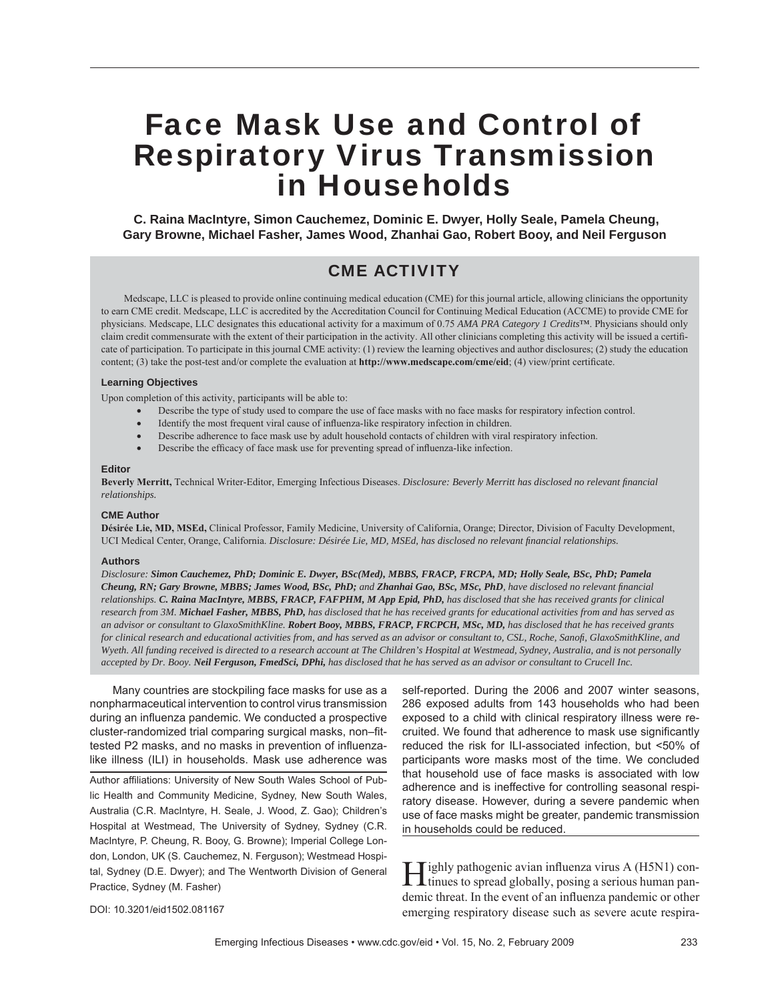# Face Mask Use and Control of Respiratory Virus Transmission in Households

 **C. Raina MacIntyre, Simon Cauchemez, Dominic E. Dwyer, Holly Seale, Pamela Cheung, Gary Browne, Michael Fasher, James Wood, Zhanhai Gao, Robert Booy, and Neil Ferguson** 

# CME ACTIVITY

Medscape, LLC is pleased to provide online continuing medical education (CME) for this journal article, allowing clinicians the opportunity to earn CME credit. Medscape, LLC is accredited by the Accreditation Council for Continuing Medical Education (ACCME) to provide CME for physicians. Medscape, LLC designates this educational activity for a maximum of 0.75 *AMA PRA Category 1 Credits*™. Physicians should only claim credit commensurate with the extent of their participation in the activity. All other clinicians completing this activity will be issued a certificate of participation. To participate in this journal CME activity: (1) review the learning objectives and author disclosures; (2) study the education content; (3) take the post-test and/or complete the evaluation at **http://www.medscape.com/cme/eid**; (4) view/print certificate.

#### **Learning Objectives**

Upon completion of this activity, participants will be able to:

- Describe the type of study used to compare the use of face masks with no face masks for respiratory infection control.
	- Identify the most frequent viral cause of influenza-like respiratory infection in children.
	- Describe adherence to face mask use by adult household contacts of children with viral respiratory infection.
	- Describe the efficacy of face mask use for preventing spread of influenza-like infection.

#### **Editor**

**Beverly Merritt,** Technical Writer-Editor, Emerging Infectious Diseases. *Disclosure: Beverly Merritt has disclosed no relevant fi nancial relationships.*

#### **CME Author**

**Désirée Lie, MD, MSEd,** Clinical Professor, Family Medicine, University of California, Orange; Director, Division of Faculty Development, UCI Medical Center, Orange, California. *Disclosure: Désirée Lie, MD, MSEd, has disclosed no relevant financial relationships.* 

#### **Authors**

*Disclosure: Simon Cauchemez, PhD; Dominic E. Dwyer, BSc(Med), MBBS, FRACP, FRCPA, MD; Holly Seale, BSc, PhD; Pamela Cheung, RN; Gary Browne, MBBS; James Wood, BSc, PhD; and Zhanhai Gao, BSc, MSc, PhD, have disclosed no relevant fi nancial relationships. C. Raina MacIntyre, MBBS, FRACP, FAFPHM, M App Epid, PhD, has disclosed that she has received grants for clinical research from 3M. Michael Fasher, MBBS, PhD, has disclosed that he has received grants for educational activities from and has served as an advisor or consultant to GlaxoSmithKline. Robert Booy, MBBS, FRACP, FRCPCH, MSc, MD, has disclosed that he has received grants for clinical research and educational activities from, and has served as an advisor or consultant to, CSL, Roche, Sanofi , GlaxoSmithKline, and Wyeth. All funding received is directed to a research account at The Children's Hospital at Westmead, Sydney, Australia, and is not personally accepted by Dr. Booy. Neil Ferguson, FmedSci, DPhi, has disclosed that he has served as an advisor or consultant to Crucell Inc.*

Many countries are stockpiling face masks for use as a nonpharmaceutical intervention to control virus transmission during an influenza pandemic. We conducted a prospective cluster-randomized trial comparing surgical masks, non-fittested P2 masks, and no masks in prevention of influenzalike illness (ILI) in households. Mask use adherence was

Author affiliations: University of New South Wales School of Public Health and Community Medicine, Sydney, New South Wales, Australia (C.R. MacIntyre, H. Seale, J. Wood, Z. Gao); Children's Hospital at Westmead, The University of Sydney, Sydney (C.R. MacIntyre, P. Cheung, R. Booy, G. Browne); Imperial College London, London, UK (S. Cauchemez, N. Ferguson); Westmead Hospital, Sydney (D.E. Dwyer); and The Wentworth Division of General Practice, Sydney (M. Fasher)

self-reported. During the 2006 and 2007 winter seasons, 286 exposed adults from 143 households who had been exposed to a child with clinical respiratory illness were recruited. We found that adherence to mask use significantly reduced the risk for ILI-associated infection, but <50% of participants wore masks most of the time. We concluded that household use of face masks is associated with low adherence and is ineffective for controlling seasonal respiratory disease. However, during a severe pandemic when use of face masks might be greater, pandemic transmission in households could be reduced.

Highly pathogenic avian influenza virus A (H5N1) con-<br>tinues to spread globally, posing a serious human pandemic threat. In the event of an influenza pandemic or other emerging respiratory disease such as severe acute respira-

DOI: 10.3201/eid1502.081167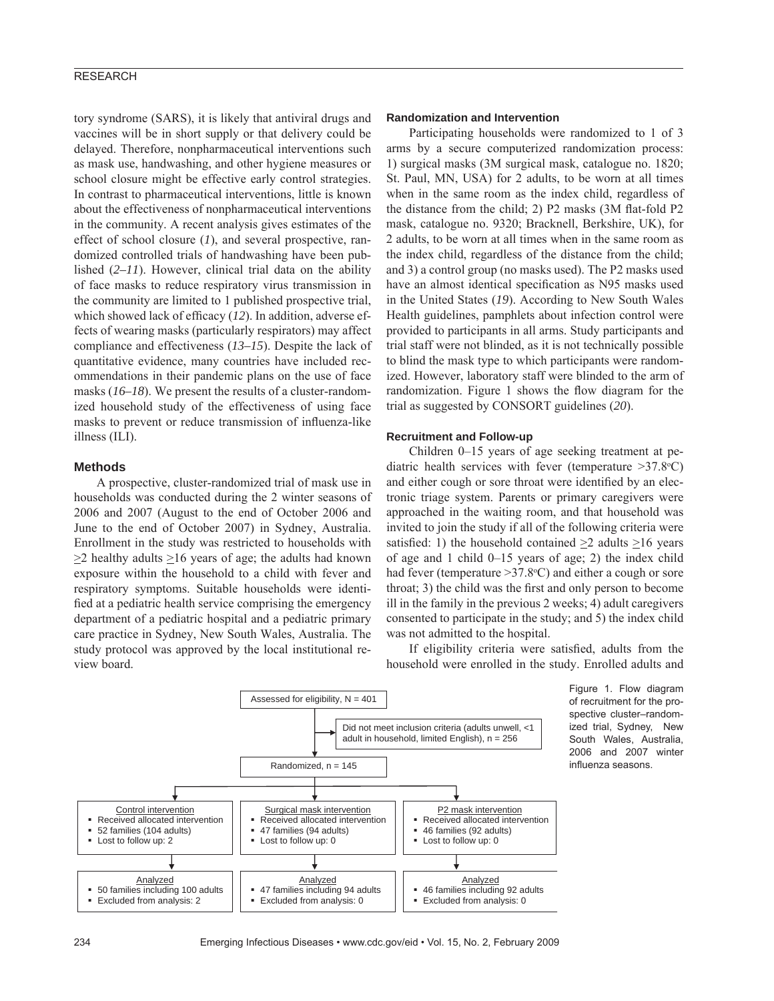tory syndrome (SARS), it is likely that antiviral drugs and vaccines will be in short supply or that delivery could be delayed. Therefore, nonpharmaceutical interventions such as mask use, handwashing, and other hygiene measures or school closure might be effective early control strategies. In contrast to pharmaceutical interventions, little is known about the effectiveness of nonpharmaceutical interventions in the community. A recent analysis gives estimates of the effect of school closure (*1*), and several prospective, randomized controlled trials of handwashing have been published (*2–11*). However, clinical trial data on the ability of face masks to reduce respiratory virus transmission in the community are limited to 1 published prospective trial, which showed lack of efficacy (12). In addition, adverse effects of wearing masks (particularly respirators) may affect compliance and effectiveness (*13–15*). Despite the lack of quantitative evidence, many countries have included recommendations in their pandemic plans on the use of face masks (*16–18*). We present the results of a cluster-randomized household study of the effectiveness of using face masks to prevent or reduce transmission of influenza-like illness (ILI).

# **Methods**

A prospective, cluster-randomized trial of mask use in households was conducted during the 2 winter seasons of 2006 and 2007 (August to the end of October 2006 and June to the end of October 2007) in Sydney, Australia. Enrollment in the study was restricted to households with  $\geq$ 2 healthy adults  $\geq$ 16 years of age; the adults had known exposure within the household to a child with fever and respiratory symptoms. Suitable households were identified at a pediatric health service comprising the emergency department of a pediatric hospital and a pediatric primary care practice in Sydney, New South Wales, Australia. The study protocol was approved by the local institutional review board.

#### **Randomization and Intervention**

Participating households were randomized to 1 of 3 arms by a secure computerized randomization process: 1) surgical masks (3M surgical mask, catalogue no. 1820; St. Paul, MN, USA) for 2 adults, to be worn at all times when in the same room as the index child, regardless of the distance from the child; 2)  $P2$  masks (3M flat-fold  $P2$ mask, catalogue no. 9320; Bracknell, Berkshire, UK), for 2 adults, to be worn at all times when in the same room as the index child, regardless of the distance from the child; and 3) a control group (no masks used). The P2 masks used have an almost identical specification as N95 masks used in the United States (*19*). According to New South Wales Health guidelines, pamphlets about infection control were provided to participants in all arms. Study participants and trial staff were not blinded, as it is not technically possible to blind the mask type to which participants were randomized. However, laboratory staff were blinded to the arm of randomization. Figure 1 shows the flow diagram for the trial as suggested by CONSORT guidelines (*20*).

#### **Recruitment and Follow-up**

Children 0–15 years of age seeking treatment at pediatric health services with fever (temperature  $>37.8$ °C) and either cough or sore throat were identified by an electronic triage system. Parents or primary caregivers were approached in the waiting room, and that household was invited to join the study if all of the following criteria were satisfied: 1) the household contained  $\geq 2$  adults  $\geq 16$  years of age and 1 child 0–15 years of age; 2) the index child had fever (temperature  $>37.8$ °C) and either a cough or sore throat; 3) the child was the first and only person to become ill in the family in the previous 2 weeks; 4) adult caregivers consented to participate in the study; and 5) the index child was not admitted to the hospital.

If eligibility criteria were satisfied, adults from the household were enrolled in the study. Enrolled adults and



Figure 1. Flow diagram of recruitment for the prospective cluster–randomized trial, Sydney, New South Wales, Australia, 2006 and 2007 winter influenza seasons.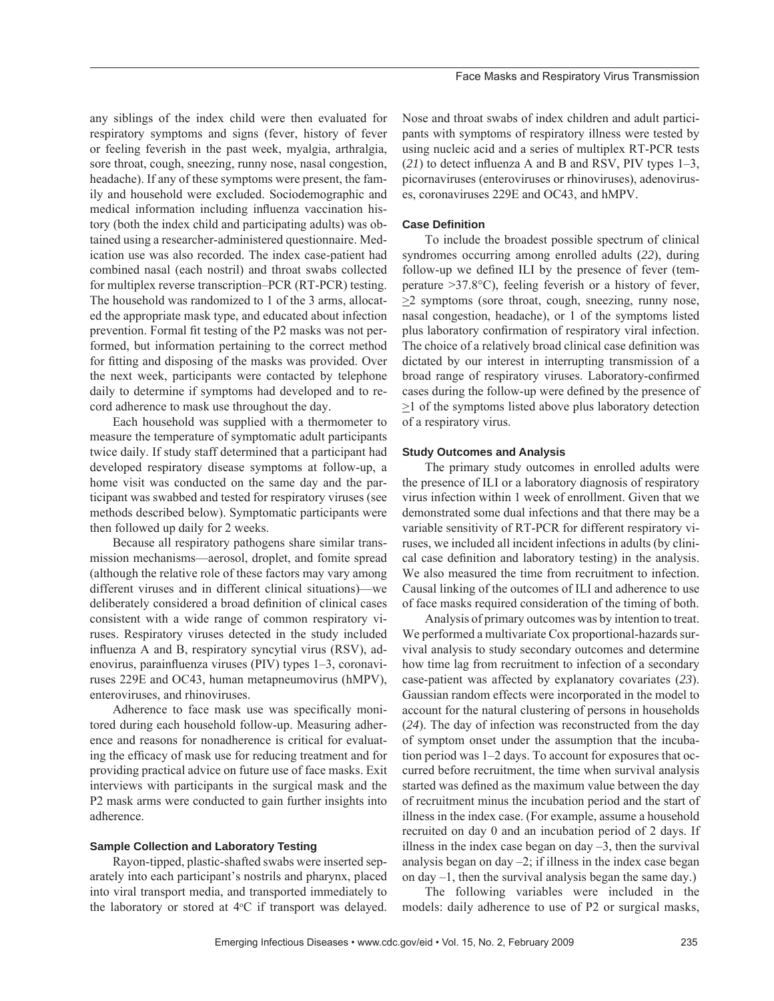any siblings of the index child were then evaluated for respiratory symptoms and signs (fever, history of fever or feeling feverish in the past week, myalgia, arthralgia, sore throat, cough, sneezing, runny nose, nasal congestion, headache). If any of these symptoms were present, the family and household were excluded. Sociodemographic and medical information including influenza vaccination history (both the index child and participating adults) was obtained using a researcher-administered questionnaire. Medication use was also recorded. The index case-patient had combined nasal (each nostril) and throat swabs collected for multiplex reverse transcription–PCR (RT-PCR) testing. The household was randomized to 1 of the 3 arms, allocated the appropriate mask type, and educated about infection prevention. Formal fit testing of the P2 masks was not performed, but information pertaining to the correct method for fitting and disposing of the masks was provided. Over the next week, participants were contacted by telephone daily to determine if symptoms had developed and to record adherence to mask use throughout the day.

Each household was supplied with a thermometer to measure the temperature of symptomatic adult participants twice daily. If study staff determined that a participant had developed respiratory disease symptoms at follow-up, a home visit was conducted on the same day and the participant was swabbed and tested for respiratory viruses (see methods described below). Symptomatic participants were then followed up daily for 2 weeks.

Because all respiratory pathogens share similar transmission mechanisms—aerosol, droplet, and fomite spread (although the relative role of these factors may vary among different viruses and in different clinical situations)—we deliberately considered a broad definition of clinical cases consistent with a wide range of common respiratory viruses. Respiratory viruses detected in the study included influenza A and B, respiratory syncytial virus (RSV), adenovirus, parainfluenza viruses (PIV) types  $1-3$ , coronaviruses 229E and OC43, human metapneumovirus (hMPV), enteroviruses, and rhinoviruses.

Adherence to face mask use was specifically monitored during each household follow-up. Measuring adherence and reasons for nonadherence is critical for evaluating the efficacy of mask use for reducing treatment and for providing practical advice on future use of face masks. Exit interviews with participants in the surgical mask and the P2 mask arms were conducted to gain further insights into adherence.

#### **Sample Collection and Laboratory Testing**

Rayon-tipped, plastic-shafted swabs were inserted separately into each participant's nostrils and pharynx, placed into viral transport media, and transported immediately to the laboratory or stored at  $4^{\circ}$ C if transport was delayed. Nose and throat swabs of index children and adult participants with symptoms of respiratory illness were tested by using nucleic acid and a series of multiplex RT-PCR tests  $(21)$  to detect influenza A and B and RSV, PIV types  $1-3$ , picornaviruses (enteroviruses or rhinoviruses), adenoviruses, coronaviruses 229E and OC43, and hMPV.

# **Case Defi nition**

To include the broadest possible spectrum of clinical syndromes occurring among enrolled adults (*22*), during follow-up we defined ILI by the presence of fever (temperature >37.8°C), feeling feverish or a history of fever, >2 symptoms (sore throat, cough, sneezing, runny nose, nasal congestion, headache), or 1 of the symptoms listed plus laboratory confirmation of respiratory viral infection. The choice of a relatively broad clinical case definition was dictated by our interest in interrupting transmission of a broad range of respiratory viruses. Laboratory-confirmed cases during the follow-up were defined by the presence of >1 of the symptoms listed above plus laboratory detection of a respiratory virus.

#### **Study Outcomes and Analysis**

The primary study outcomes in enrolled adults were the presence of ILI or a laboratory diagnosis of respiratory virus infection within 1 week of enrollment. Given that we demonstrated some dual infections and that there may be a variable sensitivity of RT-PCR for different respiratory viruses, we included all incident infections in adults (by clinical case definition and laboratory testing) in the analysis. We also measured the time from recruitment to infection. Causal linking of the outcomes of ILI and adherence to use of face masks required consideration of the timing of both.

Analysis of primary outcomes was by intention to treat. We performed a multivariate Cox proportional-hazards survival analysis to study secondary outcomes and determine how time lag from recruitment to infection of a secondary case-patient was affected by explanatory covariates (*23*). Gaussian random effects were incorporated in the model to account for the natural clustering of persons in households (*24*). The day of infection was reconstructed from the day of symptom onset under the assumption that the incubation period was 1–2 days. To account for exposures that occurred before recruitment, the time when survival analysis started was defined as the maximum value between the day of recruitment minus the incubation period and the start of illness in the index case. (For example, assume a household recruited on day 0 and an incubation period of 2 days. If illness in the index case began on day  $-3$ , then the survival analysis began on day  $-2$ ; if illness in the index case began on day –1, then the survival analysis began the same day.)

The following variables were included in the models: daily adherence to use of P2 or surgical masks,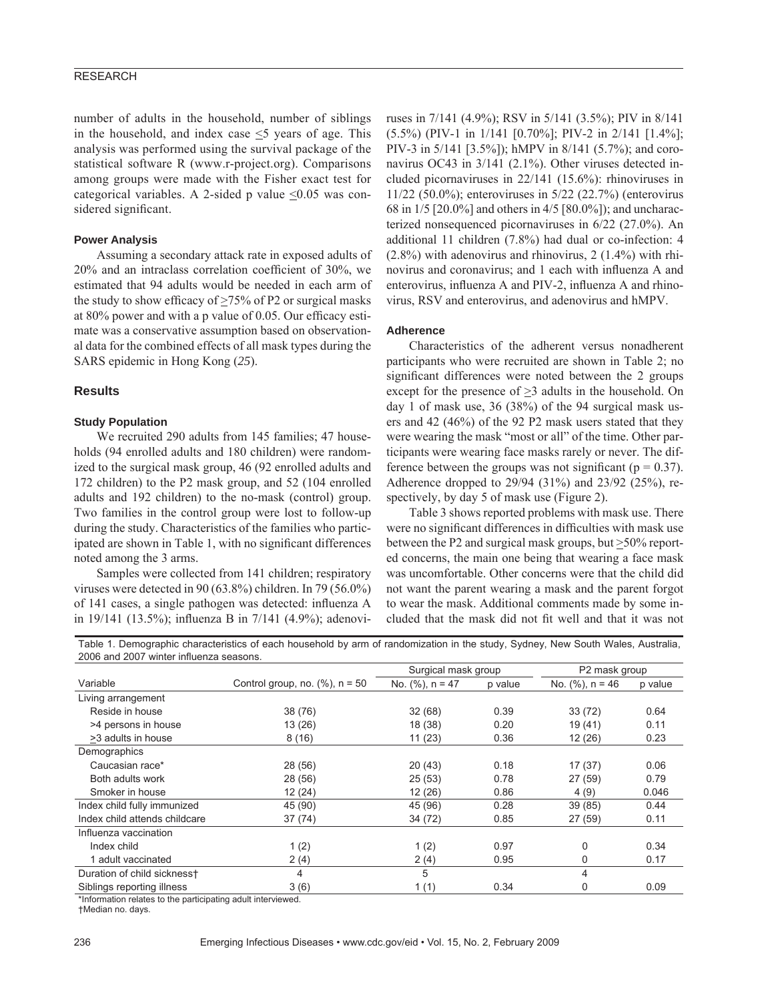number of adults in the household, number of siblings in the household, and index case <5 years of age. This analysis was performed using the survival package of the statistical software R (www.r-project.org). Comparisons among groups were made with the Fisher exact test for categorical variables. A 2-sided p value  $\leq 0.05$  was considered significant.

#### **Power Analysis**

Assuming a secondary attack rate in exposed adults of  $20\%$  and an intraclass correlation coefficient of  $30\%$ , we estimated that 94 adults would be needed in each arm of the study to show efficacy of  $>75\%$  of P2 or surgical masks at  $80\%$  power and with a p value of 0.05. Our efficacy estimate was a conservative assumption based on observational data for the combined effects of all mask types during the SARS epidemic in Hong Kong (*25*).

# **Results**

# **Study Population**

We recruited 290 adults from 145 families; 47 households (94 enrolled adults and 180 children) were randomized to the surgical mask group, 46 (92 enrolled adults and 172 children) to the P2 mask group, and 52 (104 enrolled adults and 192 children) to the no-mask (control) group. Two families in the control group were lost to follow-up during the study. Characteristics of the families who participated are shown in Table 1, with no significant differences noted among the 3 arms.

Samples were collected from 141 children; respiratory viruses were detected in 90 (63.8%) children. In 79 (56.0%) of 141 cases, a single pathogen was detected: influenza A in 19/141 (13.5%); influenza B in  $7/141$  (4.9%); adenoviruses in 7/141 (4.9%); RSV in 5/141 (3.5%); PIV in 8/141 (5.5%) (PIV-1 in 1/141 [0.70%]; PIV-2 in 2/141 [1.4%]; PIV-3 in 5/141 [3.5%]); hMPV in 8/141 (5.7%); and coronavirus OC43 in 3/141 (2.1%). Other viruses detected included picornaviruses in 22/141 (15.6%): rhinoviruses in 11/22 (50.0%); enteroviruses in 5/22 (22.7%) (enterovirus 68 in 1/5 [20.0%] and others in 4/5 [80.0%]); and uncharacterized nonsequenced picornaviruses in 6/22 (27.0%). An additional 11 children (7.8%) had dual or co-infection: 4 (2.8%) with adenovirus and rhinovirus, 2 (1.4%) with rhinovirus and coronavirus; and 1 each with influenza A and enterovirus, influenza A and PIV-2, influenza A and rhinovirus, RSV and enterovirus, and adenovirus and hMPV.

# **Adherence**

Characteristics of the adherent versus nonadherent participants who were recruited are shown in Table 2; no significant differences were noted between the 2 groups except for the presence of  $\geq$ 3 adults in the household. On day 1 of mask use, 36 (38%) of the 94 surgical mask users and 42 (46%) of the 92 P2 mask users stated that they were wearing the mask "most or all" of the time. Other participants were wearing face masks rarely or never. The difference between the groups was not significant ( $p = 0.37$ ). Adherence dropped to 29/94 (31%) and 23/92 (25%), respectively, by day 5 of mask use (Figure 2).

Table 3 shows reported problems with mask use. There were no significant differences in difficulties with mask use between the P2 and surgical mask groups, but  $\geq$ 50% reported concerns, the main one being that wearing a face mask was uncomfortable. Other concerns were that the child did not want the parent wearing a mask and the parent forgot to wear the mask. Additional comments made by some included that the mask did not fit well and that it was not

Table 1. Demographic characteristics of each household by arm of randomization in the study, Sydney, New South Wales, Australia, 2006 and 2007 winter influenza seasons.

|                                         |                                    | Surgical mask group  |         | P2 mask group        |         |
|-----------------------------------------|------------------------------------|----------------------|---------|----------------------|---------|
| Variable                                | Control group, no. $(\%)$ , n = 50 | No. $(%)$ , $n = 47$ | p value | No. $(%)$ , $n = 46$ | p value |
| Living arrangement                      |                                    |                      |         |                      |         |
| Reside in house                         | 38 (76)                            | 32(68)               | 0.39    | 33(72)               | 0.64    |
| >4 persons in house                     | 13(26)                             | 18 (38)<br>0.20      |         | 19(41)               | 0.11    |
| >3 adults in house                      | 8(16)                              | 11(23)               | 0.36    | 12(26)               | 0.23    |
| Demographics                            |                                    |                      |         |                      |         |
| Caucasian race*                         | 28 (56)                            | 20(43)               | 0.18    | 17(37)               | 0.06    |
| Both adults work                        | 28 (56)                            | 25(53)               | 0.78    | 27(59)               | 0.79    |
| Smoker in house                         | 12(24)                             | 12(26)               | 0.86    | 4(9)                 | 0.046   |
| Index child fully immunized             | 45 (90)                            | 45 (96)              | 0.28    | 39 (85)              | 0.44    |
| Index child attends childcare           | 37(74)                             | 34 (72)              | 0.85    | 27(59)               | 0.11    |
| Influenza vaccination                   |                                    |                      |         |                      |         |
| Index child                             | 1(2)                               | 1(2)                 | 0.97    | 0                    | 0.34    |
| 1 adult vaccinated                      | 2(4)                               | 2(4)                 | 0.95    | 0                    | 0.17    |
| Duration of child sickness <sup>+</sup> | 4                                  | 5                    |         | 4                    |         |
| Siblings reporting illness              | 3(6)                               | 1(1)                 | 0.34    | 0                    | 0.09    |

\*Information relates to the participating adult interviewed.

†Median no. days.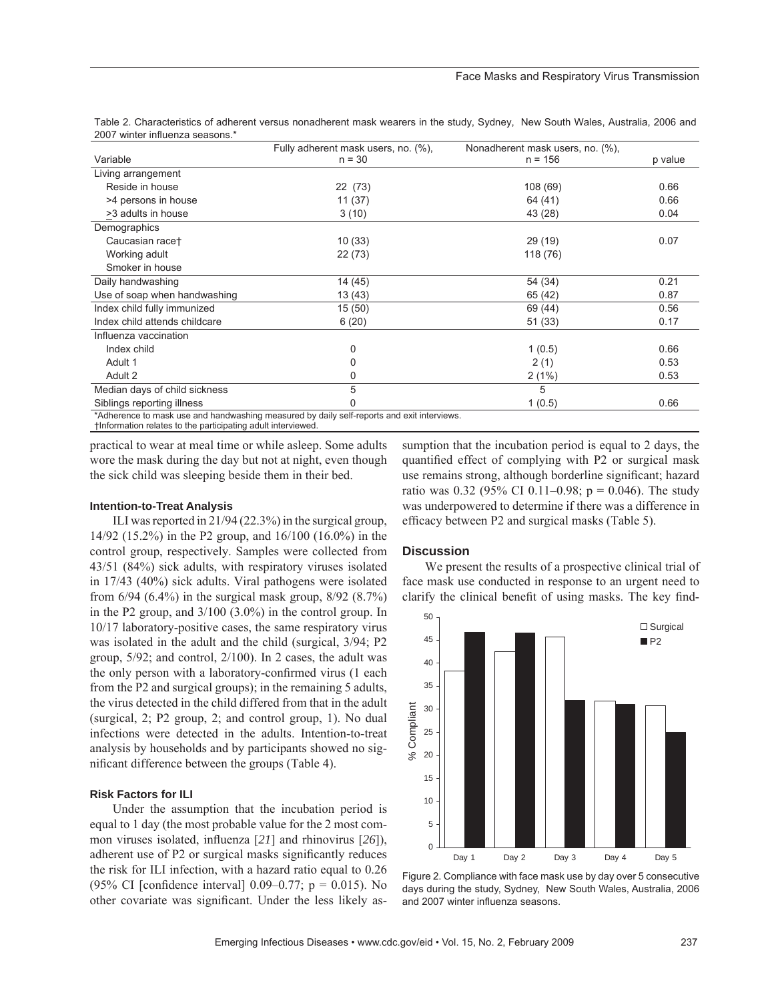|                                                              | Fully adherent mask users, no. (%),                                                        | Nonadherent mask users, no. (%), |         |
|--------------------------------------------------------------|--------------------------------------------------------------------------------------------|----------------------------------|---------|
| Variable                                                     | $n = 30$                                                                                   | $n = 156$                        | p value |
| Living arrangement                                           |                                                                                            |                                  |         |
| Reside in house                                              | 22 (73)                                                                                    | 108 (69)                         | 0.66    |
| >4 persons in house                                          | 11(37)                                                                                     | 64 (41)                          | 0.66    |
| >3 adults in house                                           | 3(10)                                                                                      | 43 (28)                          | 0.04    |
| Demographics                                                 |                                                                                            |                                  |         |
| Caucasian race <sup>+</sup>                                  | 10(33)                                                                                     | 29 (19)                          | 0.07    |
| Working adult                                                | 22 (73)                                                                                    | 118 (76)                         |         |
| Smoker in house                                              |                                                                                            |                                  |         |
| Daily handwashing                                            | 14 (45)                                                                                    | 54 (34)                          | 0.21    |
| Use of soap when handwashing                                 | 13 (43)                                                                                    | 65 (42)                          | 0.87    |
| Index child fully immunized                                  | 15(50)                                                                                     | 69 (44)                          | 0.56    |
| Index child attends childcare                                | 6(20)                                                                                      | 51 (33)                          | 0.17    |
| Influenza vaccination                                        |                                                                                            |                                  |         |
| Index child                                                  | 0                                                                                          | 1(0.5)                           | 0.66    |
| Adult 1                                                      | 0                                                                                          | 2(1)                             | 0.53    |
| Adult 2                                                      | 0                                                                                          | 2(1%)                            | 0.53    |
| Median days of child sickness                                | 5                                                                                          | 5                                |         |
| Siblings reporting illness                                   | 0                                                                                          | 1(0.5)                           | 0.66    |
| tinformation relates to the participating adult interviewed. | *Adherence to mask use and handwashing measured by daily self-reports and exit interviews. |                                  |         |

Table 2. Characteristics of adherent versus nonadherent mask wearers in the study, Sydney, New South Wales, Australia, 2006 and 2007 winter influenza seasons.\*

practical to wear at meal time or while asleep. Some adults wore the mask during the day but not at night, even though the sick child was sleeping beside them in their bed.

# **Intention-to-Treat Analysis**

ILI was reported in 21/94 (22.3%) in the surgical group, 14/92 (15.2%) in the P2 group, and 16/100 (16.0%) in the control group, respectively. Samples were collected from 43/51 (84%) sick adults, with respiratory viruses isolated in 17/43 (40%) sick adults. Viral pathogens were isolated from 6/94 (6.4%) in the surgical mask group, 8/92 (8.7%) in the P2 group, and 3/100 (3.0%) in the control group. In 10/17 laboratory-positive cases, the same respiratory virus was isolated in the adult and the child (surgical, 3/94; P2 group, 5/92; and control, 2/100). In 2 cases, the adult was the only person with a laboratory-confirmed virus (1 each from the P2 and surgical groups); in the remaining 5 adults, the virus detected in the child differed from that in the adult (surgical, 2; P2 group, 2; and control group, 1). No dual infections were detected in the adults. Intention-to-treat analysis by households and by participants showed no significant difference between the groups (Table 4).

# **Risk Factors for ILI**

Under the assumption that the incubation period is equal to 1 day (the most probable value for the 2 most common viruses isolated, influenza [21] and rhinovirus [26]), adherent use of P2 or surgical masks significantly reduces the risk for ILI infection, with a hazard ratio equal to 0.26 (95% CI [confidence interval] 0.09–0.77;  $p = 0.015$ ). No other covariate was significant. Under the less likely assumption that the incubation period is equal to 2 days, the quantified effect of complying with P2 or surgical mask use remains strong, although borderline significant; hazard ratio was 0.32 (95% CI 0.11–0.98;  $p = 0.046$ ). The study was underpowered to determine if there was a difference in efficacy between P2 and surgical masks (Table 5).

# **Discussion**

We present the results of a prospective clinical trial of face mask use conducted in response to an urgent need to clarify the clinical benefit of using masks. The key find-



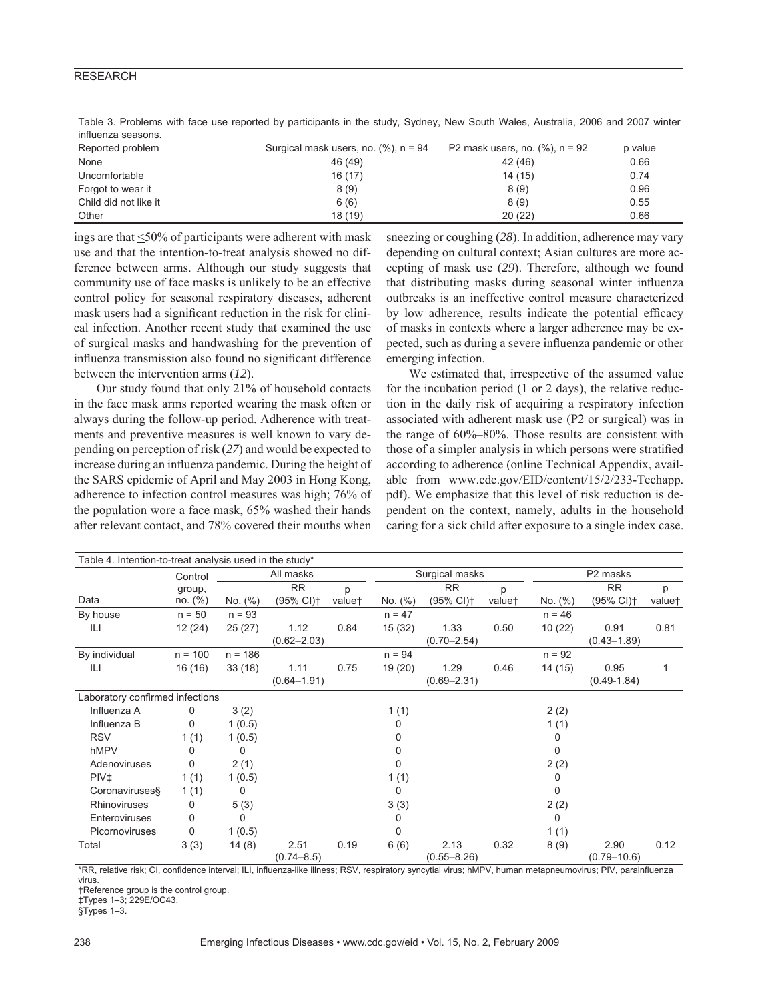| innuenza seasons.     |                                          |                                    |         |
|-----------------------|------------------------------------------|------------------------------------|---------|
| Reported problem      | Surgical mask users, no. $(\%)$ , n = 94 | P2 mask users, no. $(\%)$ , n = 92 | p value |
| None                  | 46 (49)                                  | 42 (46)                            | 0.66    |
| Uncomfortable         | 16 (17)                                  | 14 (15)                            | 0.74    |
| Forgot to wear it     | 8(9)                                     | 8(9)                               | 0.96    |
| Child did not like it | 6(6)                                     | 8(9)                               | 0.55    |
| Other                 | 18 (19)                                  | 20(22)                             | 0.66    |

Table 3. Problems with face use reported by participants in the study, Sydney, New South Wales, Australia, 2006 and 2007 winter influenza seasons.

ings are that  $\leq 50\%$  of participants were adherent with mask use and that the intention-to-treat analysis showed no difference between arms. Although our study suggests that community use of face masks is unlikely to be an effective control policy for seasonal respiratory diseases, adherent mask users had a significant reduction in the risk for clinical infection. Another recent study that examined the use of surgical masks and handwashing for the prevention of influenza transmission also found no significant difference between the intervention arms (*12*).

Our study found that only 21% of household contacts in the face mask arms reported wearing the mask often or always during the follow-up period. Adherence with treatments and preventive measures is well known to vary depending on perception of risk (*27*) and would be expected to increase during an influenza pandemic. During the height of the SARS epidemic of April and May 2003 in Hong Kong, adherence to infection control measures was high; 76% of the population wore a face mask, 65% washed their hands after relevant contact, and 78% covered their mouths when sneezing or coughing (*28*). In addition, adherence may vary depending on cultural context; Asian cultures are more accepting of mask use (*29*). Therefore, although we found that distributing masks during seasonal winter influenza outbreaks is an ineffective control measure characterized by low adherence, results indicate the potential efficacy of masks in contexts where a larger adherence may be expected, such as during a severe influenza pandemic or other emerging infection.

We estimated that, irrespective of the assumed value for the incubation period (1 or 2 days), the relative reduction in the daily risk of acquiring a respiratory infection associated with adherent mask use (P2 or surgical) was in the range of 60%–80%. Those results are consistent with those of a simpler analysis in which persons were stratified according to adherence (online Technical Appendix, available from www.cdc.gov/EID/content/15/2/233-Techapp. pdf). We emphasize that this level of risk reduction is dependent on the context, namely, adults in the household caring for a sick child after exposure to a single index case.

| Table 4. Intention-to-treat analysis used in the study* |           |           |                       |                |          |                       |        |          |                       |        |
|---------------------------------------------------------|-----------|-----------|-----------------------|----------------|----------|-----------------------|--------|----------|-----------------------|--------|
|                                                         | Control   | All masks |                       | Surgical masks |          | P2 masks              |        |          |                       |        |
|                                                         | group,    |           | RR                    | p              |          | RR                    | p      |          | <b>RR</b>             | p      |
| Data                                                    | no. (%)   | No. (%)   | (95% CI) <sup>+</sup> | valuet         | No. (%)  | (95% CI) <sup>+</sup> | valuet | No. (%)  | (95% CI) <sup>+</sup> | value† |
| By house                                                | $n = 50$  | $n = 93$  |                       |                | $n = 47$ |                       |        | $n = 46$ |                       |        |
| ILI                                                     | 12 (24)   | 25(27)    | 1.12                  | 0.84           | 15 (32)  | 1.33                  | 0.50   | 10 (22)  | 0.91                  | 0.81   |
|                                                         |           |           | $(0.62 - 2.03)$       |                |          | $(0.70 - 2.54)$       |        |          | $(0.43 - 1.89)$       |        |
| By individual                                           | $n = 100$ | $n = 186$ |                       |                | $n = 94$ |                       |        | $n = 92$ |                       |        |
| ILI                                                     | 16 (16)   | 33(18)    | 1.11                  | 0.75           | 19 (20)  | 1.29                  | 0.46   | 14 (15)  | 0.95                  | 1      |
|                                                         |           |           | $(0.64 - 1.91)$       |                |          | $(0.69 - 2.31)$       |        |          | $(0.49 - 1.84)$       |        |
| Laboratory confirmed infections                         |           |           |                       |                |          |                       |        |          |                       |        |
| Influenza A                                             | 0         | 3(2)      |                       |                | 1(1)     |                       |        | 2(2)     |                       |        |
| Influenza B                                             | 0         | 1(0.5)    |                       |                | 0        |                       |        | 1(1)     |                       |        |
| <b>RSV</b>                                              | 1(1)      | 1(0.5)    |                       |                | 0        |                       |        | 0        |                       |        |
| hMPV                                                    | 0         | 0         |                       |                | 0        |                       |        | $\Omega$ |                       |        |
| Adenoviruses                                            | 0         | 2(1)      |                       |                | 0        |                       |        | 2(2)     |                       |        |
| PIV <sub>‡</sub>                                        | 1(1)      | 1(0.5)    |                       |                | 1(1)     |                       |        | 0        |                       |        |
| Coronaviruses                                           | 1(1)      | 0         |                       |                | $\Omega$ |                       |        | 0        |                       |        |
| Rhinoviruses                                            | 0         | 5(3)      |                       |                | 3(3)     |                       |        | 2(2)     |                       |        |
| Enteroviruses                                           | 0         | 0         |                       |                | $\Omega$ |                       |        | 0        |                       |        |
| Picornoviruses                                          | 0         | 1(0.5)    |                       |                | 0        |                       |        | 1(1)     |                       |        |
| Total                                                   | 3(3)      | 14(8)     | 2.51                  | 0.19           | 6(6)     | 2.13                  | 0.32   | 8(9)     | 2.90                  | 0.12   |
|                                                         |           |           | $(0.74 - 8.5)$        |                |          | $(0.55 - 8.26)$       |        |          | $(0.79 - 10.6)$       |        |

\*RR, relative risk; CI, confidence interval; ILI, influenza-like illness; RSV, respiratory syncytial virus; hMPV, human metapneumovirus; PIV, parainfluenza virus.

†Reference group is the control group.

‡Types 1–3; 229E/OC43.

§Types 1–3.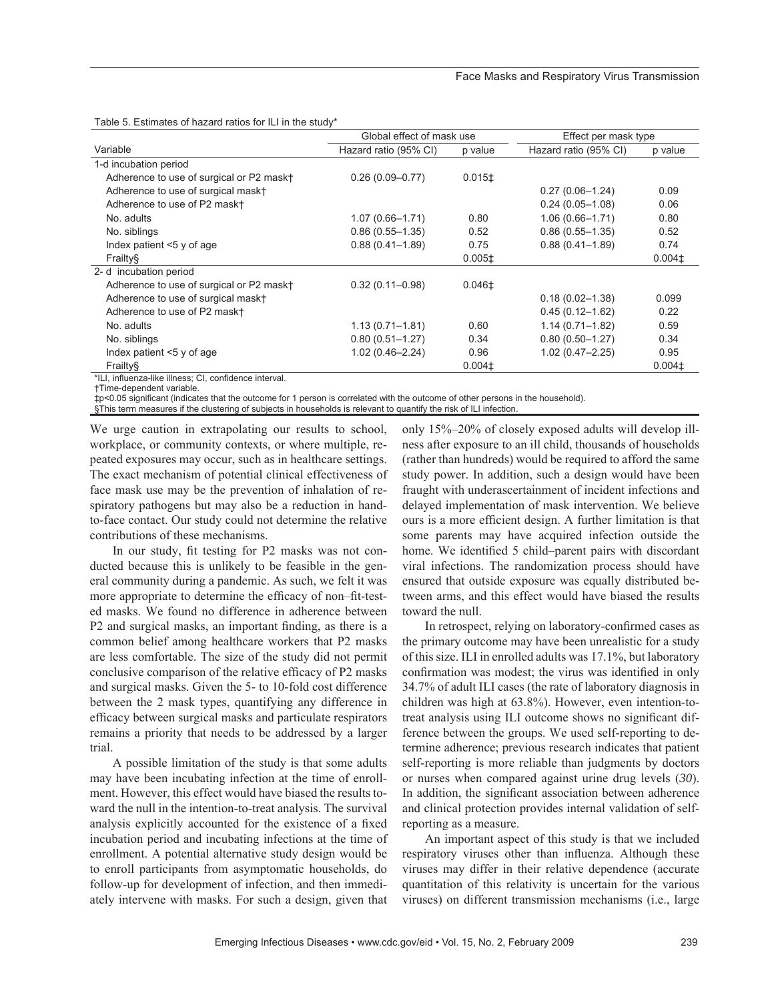Table 5. Estimates of hazard ratios for ILI in the study\*

|                                                        | Global effect of mask use |             | Effect per mask type  |            |  |  |  |
|--------------------------------------------------------|---------------------------|-------------|-----------------------|------------|--|--|--|
| Variable                                               | Hazard ratio (95% CI)     | p value     | Hazard ratio (95% CI) | p value    |  |  |  |
| 1-d incubation period                                  |                           |             |                       |            |  |  |  |
| Adherence to use of surgical or P2 mask+               | $0.26(0.09 - 0.77)$       | $0.015 \pm$ |                       |            |  |  |  |
| Adherence to use of surgical mask+                     |                           |             | $0.27(0.06 - 1.24)$   | 0.09       |  |  |  |
| Adherence to use of P2 mask+                           |                           |             | $0.24(0.05 - 1.08)$   | 0.06       |  |  |  |
| No. adults                                             | $1.07(0.66 - 1.71)$       | 0.80        | $1.06(0.66 - 1.71)$   | 0.80       |  |  |  |
| No. siblings                                           | $0.86(0.55 - 1.35)$       | 0.52        | $0.86(0.55 - 1.35)$   | 0.52       |  |  |  |
| Index patient $<$ 5 y of age                           | $0.88(0.41 - 1.89)$       | 0.75        | $0.88(0.41 - 1.89)$   | 0.74       |  |  |  |
| Frailty§                                               |                           | $0.005 \pm$ |                       | $0.004\pm$ |  |  |  |
| 2- d incubation period                                 |                           |             |                       |            |  |  |  |
| Adherence to use of surgical or P2 maskt               | $0.32(0.11 - 0.98)$       | $0.046 \pm$ |                       |            |  |  |  |
| Adherence to use of surgical mask+                     |                           |             | $0.18(0.02 - 1.38)$   | 0.099      |  |  |  |
| Adherence to use of P2 mask+                           |                           |             | $0.45(0.12 - 1.62)$   | 0.22       |  |  |  |
| No. adults                                             | $1.13(0.71 - 1.81)$       | 0.60        | $1.14(0.71 - 1.82)$   | 0.59       |  |  |  |
| No. siblings                                           | $0.80(0.51 - 1.27)$       | 0.34        | $0.80(0.50 - 1.27)$   | 0.34       |  |  |  |
| Index patient $<$ 5 y of age                           | $1.02(0.46 - 2.24)$       | 0.96        | $1.02(0.47 - 2.25)$   | 0.95       |  |  |  |
| Frailty                                                |                           | $0.004\pm$  |                       | $0.004\pm$ |  |  |  |
| *ILI, influenza-like illness; CI, confidence interval. |                           |             |                       |            |  |  |  |

†Time-dependent variable.

‡p<0.05 significant (indicates that the outcome for 1 person is correlated with the outcome of other persons in the household).

§This term measures if the clustering of subjects in households is relevant to quantify the risk of ILI infection.

We urge caution in extrapolating our results to school, workplace, or community contexts, or where multiple, repeated exposures may occur, such as in healthcare settings. The exact mechanism of potential clinical effectiveness of face mask use may be the prevention of inhalation of respiratory pathogens but may also be a reduction in handto-face contact. Our study could not determine the relative contributions of these mechanisms.

In our study, fit testing for P2 masks was not conducted because this is unlikely to be feasible in the general community during a pandemic. As such, we felt it was more appropriate to determine the efficacy of non–fit-tested masks. We found no difference in adherence between P2 and surgical masks, an important finding, as there is a common belief among healthcare workers that P2 masks are less comfortable. The size of the study did not permit conclusive comparison of the relative efficacy of P2 masks and surgical masks. Given the 5- to 10-fold cost difference between the 2 mask types, quantifying any difference in efficacy between surgical masks and particulate respirators remains a priority that needs to be addressed by a larger trial.

A possible limitation of the study is that some adults may have been incubating infection at the time of enrollment. However, this effect would have biased the results toward the null in the intention-to-treat analysis. The survival analysis explicitly accounted for the existence of a fixed incubation period and incubating infections at the time of enrollment. A potential alternative study design would be to enroll participants from asymptomatic households, do follow-up for development of infection, and then immediately intervene with masks. For such a design, given that only 15%–20% of closely exposed adults will develop illness after exposure to an ill child, thousands of households (rather than hundreds) would be required to afford the same study power. In addition, such a design would have been fraught with underascertainment of incident infections and delayed implementation of mask intervention. We believe ours is a more efficient design. A further limitation is that some parents may have acquired infection outside the home. We identified 5 child–parent pairs with discordant viral infections. The randomization process should have ensured that outside exposure was equally distributed between arms, and this effect would have biased the results toward the null.

In retrospect, relying on laboratory-confirmed cases as the primary outcome may have been unrealistic for a study of this size. ILI in enrolled adults was 17.1%, but laboratory confirmation was modest; the virus was identified in only 34.7% of adult ILI cases (the rate of laboratory diagnosis in children was high at 63.8%). However, even intention-totreat analysis using ILI outcome shows no significant difference between the groups. We used self-reporting to determine adherence; previous research indicates that patient self-reporting is more reliable than judgments by doctors or nurses when compared against urine drug levels (*30*). In addition, the significant association between adherence and clinical protection provides internal validation of selfreporting as a measure.

An important aspect of this study is that we included respiratory viruses other than influenza. Although these viruses may differ in their relative dependence (accurate quantitation of this relativity is uncertain for the various viruses) on different transmission mechanisms (i.e., large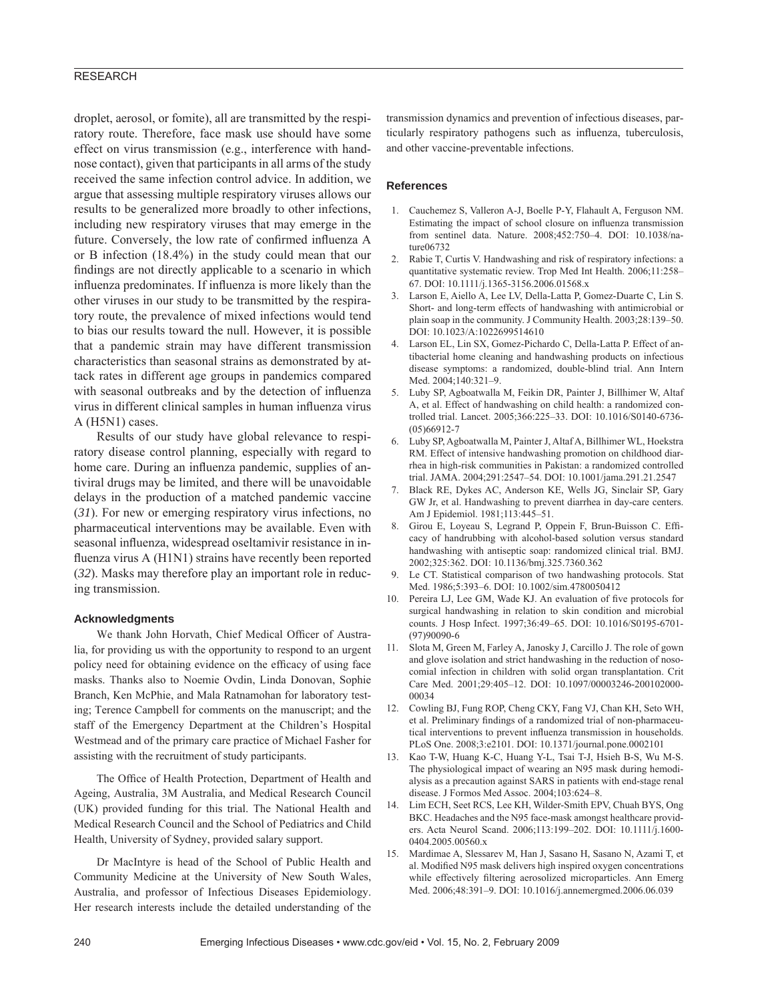droplet, aerosol, or fomite), all are transmitted by the respiratory route. Therefore, face mask use should have some effect on virus transmission (e.g., interference with handnose contact), given that participants in all arms of the study received the same infection control advice. In addition, we argue that assessing multiple respiratory viruses allows our results to be generalized more broadly to other infections, including new respiratory viruses that may emerge in the future. Conversely, the low rate of confirmed influenza A or B infection (18.4%) in the study could mean that our findings are not directly applicable to a scenario in which influenza predominates. If influenza is more likely than the other viruses in our study to be transmitted by the respiratory route, the prevalence of mixed infections would tend to bias our results toward the null. However, it is possible that a pandemic strain may have different transmission characteristics than seasonal strains as demonstrated by attack rates in different age groups in pandemics compared with seasonal outbreaks and by the detection of influenza virus in different clinical samples in human influenza virus A (H5N1) cases.

Results of our study have global relevance to respiratory disease control planning, especially with regard to home care. During an influenza pandemic, supplies of antiviral drugs may be limited, and there will be unavoidable delays in the production of a matched pandemic vaccine (*31*). For new or emerging respiratory virus infections, no pharmaceutical interventions may be available. Even with seasonal influenza, widespread oseltamivir resistance in influenza virus  $A(H1N1)$  strains have recently been reported (*32*). Masks may therefore play an important role in reducing transmission.

#### **Acknowledgments**

We thank John Horvath, Chief Medical Officer of Australia, for providing us with the opportunity to respond to an urgent policy need for obtaining evidence on the efficacy of using face masks. Thanks also to Noemie Ovdin, Linda Donovan, Sophie Branch, Ken McPhie, and Mala Ratnamohan for laboratory testing; Terence Campbell for comments on the manuscript; and the staff of the Emergency Department at the Children's Hospital Westmead and of the primary care practice of Michael Fasher for assisting with the recruitment of study participants.

The Office of Health Protection, Department of Health and Ageing, Australia, 3M Australia, and Medical Research Council (UK) provided funding for this trial. The National Health and Medical Research Council and the School of Pediatrics and Child Health, University of Sydney, provided salary support.

Dr MacIntyre is head of the School of Public Health and Community Medicine at the University of New South Wales, Australia, and professor of Infectious Diseases Epidemiology. Her research interests include the detailed understanding of the

transmission dynamics and prevention of infectious diseases, particularly respiratory pathogens such as influenza, tuberculosis, and other vaccine-preventable infections.

#### **References**

- 1. Cauchemez S, Valleron A-J, Boelle P-Y, Flahault A, Ferguson NM. Estimating the impact of school closure on influenza transmission from sentinel data. Nature. 2008;452:750–4. DOI: 10.1038/nature06732
- 2. Rabie T, Curtis V. Handwashing and risk of respiratory infections: a quantitative systematic review. Trop Med Int Health. 2006;11:258– 67. DOI: 10.1111/j.1365-3156.2006.01568.x
- 3. Larson E, Aiello A, Lee LV, Della-Latta P, Gomez-Duarte C, Lin S. Short- and long-term effects of handwashing with antimicrobial or plain soap in the community. J Community Health. 2003;28:139–50. DOI: 10.1023/A:1022699514610
- 4. Larson EL, Lin SX, Gomez-Pichardo C, Della-Latta P. Effect of antibacterial home cleaning and handwashing products on infectious disease symptoms: a randomized, double-blind trial. Ann Intern Med. 2004;140:321–9.
- 5. Luby SP, Agboatwalla M, Feikin DR, Painter J, Billhimer W, Altaf A, et al. Effect of handwashing on child health: a randomized controlled trial. Lancet. 2005;366:225–33. DOI: 10.1016/S0140-6736- (05)66912-7
- 6. Luby SP, Agboatwalla M, Painter J, Altaf A, Billhimer WL, Hoekstra RM. Effect of intensive handwashing promotion on childhood diarrhea in high-risk communities in Pakistan: a randomized controlled trial. JAMA. 2004;291:2547–54. DOI: 10.1001/jama.291.21.2547
- 7. Black RE, Dykes AC, Anderson KE, Wells JG, Sinclair SP, Gary GW Jr, et al. Handwashing to prevent diarrhea in day-care centers. Am J Epidemiol. 1981;113:445–51.
- Girou E, Loyeau S, Legrand P, Oppein F, Brun-Buisson C. Efficacy of handrubbing with alcohol-based solution versus standard handwashing with antiseptic soap: randomized clinical trial. BMJ. 2002;325:362. DOI: 10.1136/bmj.325.7360.362
- 9. Le CT. Statistical comparison of two handwashing protocols. Stat Med. 1986;5:393–6. DOI: 10.1002/sim.4780050412
- 10. Pereira LJ, Lee GM, Wade KJ. An evaluation of five protocols for surgical handwashing in relation to skin condition and microbial counts. J Hosp Infect. 1997;36:49–65. DOI: 10.1016/S0195-6701- (97)90090-6
- 11. Slota M, Green M, Farley A, Janosky J, Carcillo J. The role of gown and glove isolation and strict handwashing in the reduction of nosocomial infection in children with solid organ transplantation. Crit Care Med. 2001;29:405–12. DOI: 10.1097/00003246-200102000- 00034
- 12. Cowling BJ, Fung ROP, Cheng CKY, Fang VJ, Chan KH, Seto WH, et al. Preliminary findings of a randomized trial of non-pharmaceutical interventions to prevent influenza transmission in households. PLoS One. 2008;3:e2101. DOI: 10.1371/journal.pone.0002101
- 13. Kao T-W, Huang K-C, Huang Y-L, Tsai T-J, Hsieh B-S, Wu M-S. The physiological impact of wearing an N95 mask during hemodialysis as a precaution against SARS in patients with end-stage renal disease. J Formos Med Assoc. 2004;103:624–8.
- 14. Lim ECH, Seet RCS, Lee KH, Wilder-Smith EPV, Chuah BYS, Ong BKC. Headaches and the N95 face-mask amongst healthcare providers. Acta Neurol Scand. 2006;113:199–202. DOI: 10.1111/j.1600- 0404.2005.00560.x
- 15. Mardimae A, Slessarev M, Han J, Sasano H, Sasano N, Azami T, et al. Modified N95 mask delivers high inspired oxygen concentrations while effectively filtering aerosolized microparticles. Ann Emerg Med. 2006;48:391–9. DOI: 10.1016/j.annemergmed.2006.06.039